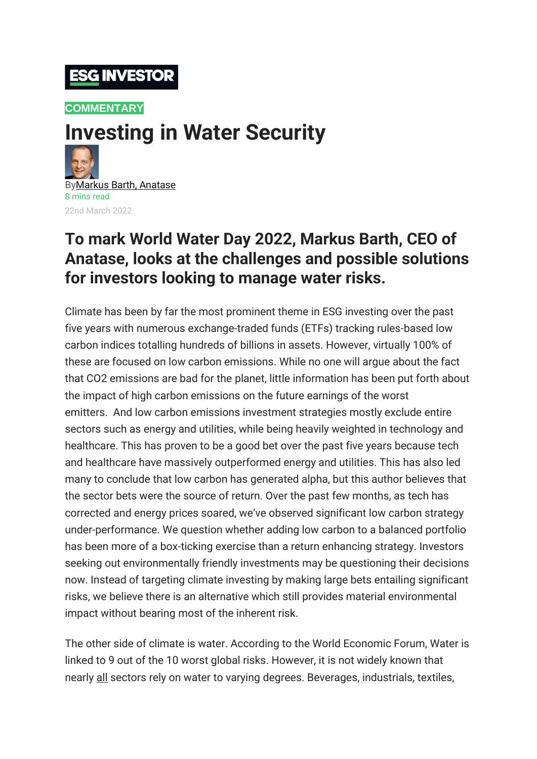## **ESG INVESTOR**

#### **[COMMENTARY](https://www.esginvestor.net/category/commentary/)**

# **Investing in Water Security**



22nd March 2022

### **To mark World Water Day 2022, Markus Barth, CEO of Anatase, looks at the challenges and possible solutions for investors looking to manage water risks.**

Climate has been by far the most prominent theme in ESG investing over the past five years with numerous exchange-traded funds (ETFs) tracking rules-based low carbon indices totalling hundreds of billions in assets. However, virtually 100% of these are focused on low carbon emissions. While no one will argue about the fact that CO2 emissions are bad for the planet, little information has been put forth about the impact of high carbon emissions on the future earnings of the worst emitters. And low carbon emissions investment strategies mostly exclude entire sectors such as energy and utilities, while being heavily weighted in technology and healthcare. This has proven to be a good bet over the past five years because tech and healthcare have massively outperformed energy and utilities. This has also led many to conclude that low carbon has generated alpha, but this author believes that the sector bets were the source of return. Over the past few months, as tech has corrected and energy prices soared, we've observed significant low carbon strategy under-performance. We question whether adding low carbon to a balanced portfolio has been more of a box-ticking exercise than a return enhancing strategy. Investors seeking out environmentally friendly investments may be questioning their decisions now. Instead of targeting climate investing by making large bets entailing significant risks, we believe there is an alternative which still provides material environmental impact without bearing most of the inherent risk.

The other side of climate is water. According to the World Economic Forum, Water is linked to 9 out of the 10 worst global risks. However, it is not widely known that nearly all sectors rely on water to varying degrees. Beverages, industrials, textiles,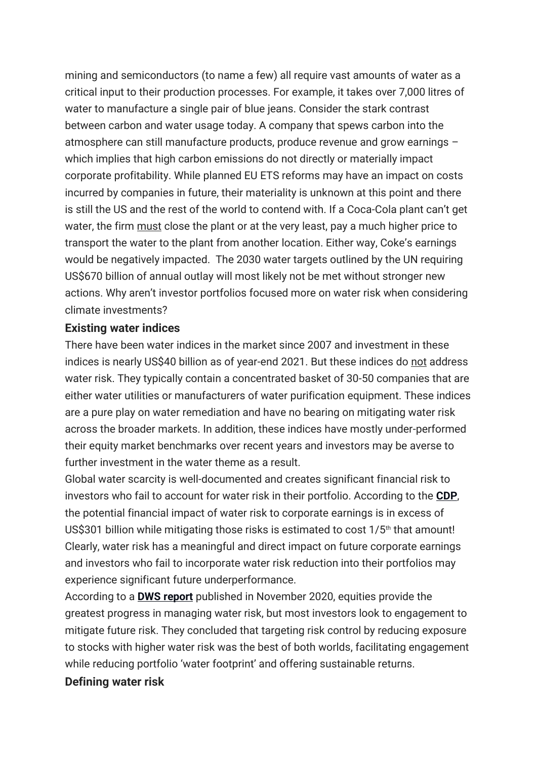mining and semiconductors (to name a few) all require vast amounts of water as a critical input to their production processes. For example, it takes over 7,000 litres of water to manufacture a single pair of blue jeans. Consider the stark contrast between carbon and water usage today. A company that spews carbon into the atmosphere can still manufacture products, produce revenue and grow earnings – which implies that high carbon emissions do not directly or materially impact corporate profitability. While planned EU ETS reforms may have an impact on costs incurred by companies in future, their materiality is unknown at this point and there is still the US and the rest of the world to contend with. If a Coca-Cola plant can't get water, the firm must close the plant or at the very least, pay a much higher price to transport the water to the plant from another location. Either way, Coke's earnings would be negatively impacted. The 2030 water targets outlined by the UN requiring US\$670 billion of annual outlay will most likely not be met without stronger new actions. Why aren't investor portfolios focused more on water risk when considering climate investments?

#### **Existing water indices**

There have been water indices in the market since 2007 and investment in these indices is nearly US\$40 billion as of year-end 2021. But these indices do not address water risk. They typically contain a concentrated basket of 30-50 companies that are either water utilities or manufacturers of water purification equipment. These indices are a pure play on water remediation and have no bearing on mitigating water risk across the broader markets. In addition, these indices have mostly under-performed their equity market benchmarks over recent years and investors may be averse to further investment in the water theme as a result.

Global water scarcity is well-documented and creates significant financial risk to investors who fail to account for water risk in their portfolio. According to the **[CDP](https://www.esginvestor.net/inaction-on-water-risk-will-cost-corporates-more-cdp/)**, the potential financial impact of water risk to corporate earnings is in excess of US\$301 billion while mitigating those risks is estimated to cost  $1/5<sup>th</sup>$  that amount! Clearly, water risk has a meaningful and direct impact on future corporate earnings and investors who fail to incorporate water risk reduction into their portfolios may experience significant future underperformance.

According to a **DWS [report](https://www.esginvestor.net/investors-urged-to-shift-investment-strategies-to-tackle-global-water-crisis/)** published in November 2020, equities provide the greatest progress in managing water risk, but most investors look to engagement to mitigate future risk. They concluded that targeting risk control by reducing exposure to stocks with higher water risk was the best of both worlds, facilitating engagement while reducing portfolio 'water footprint' and offering sustainable returns.

#### **Defining water risk**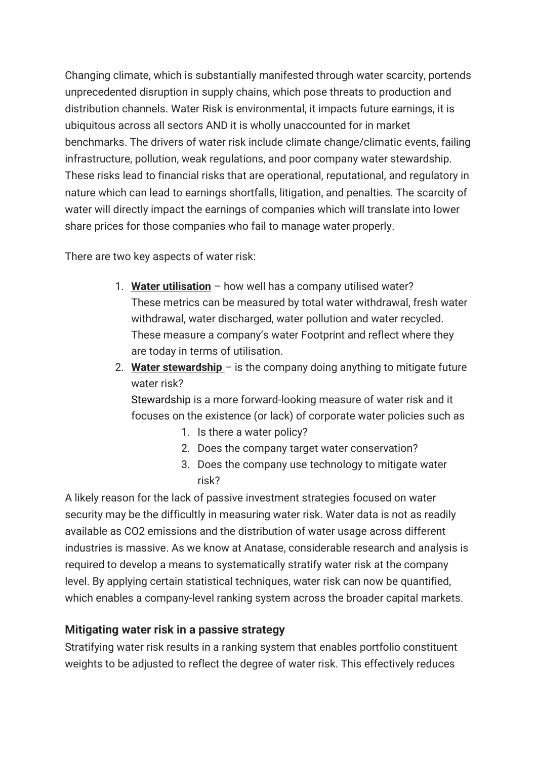Changing climate, which is substantially manifested through water scarcity, portends unprecedented disruption in supply chains, which pose threats to production and distribution channels. Water Risk is environmental, it impacts future earnings, it is ubiquitous across all sectors AND it is wholly unaccounted for in market benchmarks. The drivers of water risk include climate change/climatic events, failing infrastructure, pollution, weak regulations, and poor company water stewardship. These risks lead to financial risks that are operational, reputational, and regulatory in nature which can lead to earnings shortfalls, litigation, and penalties. The scarcity of water will directly impact the earnings of companies which will translate into lower share prices for those companies who fail to manage water properly.

There are two key aspects of water risk:

- 1. **Water utilisation** how well has a company utilised water? These metrics can be measured by total water withdrawal, fresh water withdrawal, water discharged, water pollution and water recycled. These measure a company's water Footprint and reflect where they are today in terms of utilisation.
- 2. **Water stewardship** is the company doing anything to mitigate future water risk?

[Stewardship](https://www.esginvestor.net/what-does-water-stewardship-mean-anyway/) is a more forward-looking measure of water risk and it focuses on the existence (or lack) of corporate water policies such as

- 1. Is there a water policy?
- 2. Does the company target water conservation?
- 3. Does the company use technology to mitigate water risk?

A likely reason for the lack of passive investment strategies focused on water security may be the difficultly in measuring water risk. Water data is not as readily available as CO2 emissions and the distribution of water usage across different industries is massive. As we know at Anatase, considerable research and analysis is required to develop a means to systematically stratify water risk at the company level. By applying certain statistical techniques, water risk can now be quantified, which enables a company-level ranking system across the broader capital markets.

#### **Mitigating water risk in a passive strategy**

Stratifying water risk results in a ranking system that enables portfolio constituent weights to be adjusted to reflect the degree of water risk. This effectively reduces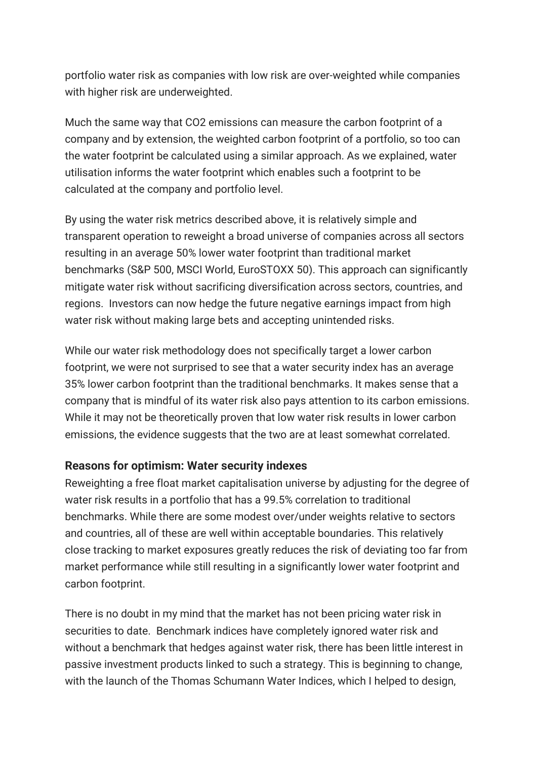portfolio water risk as companies with low risk are over-weighted while companies with higher risk are underweighted.

Much the same way that CO2 emissions can measure the carbon footprint of a company and by extension, the weighted carbon footprint of a portfolio, so too can the water footprint be calculated using a similar approach. As we explained, water utilisation informs the water footprint which enables such a footprint to be calculated at the company and portfolio level.

By using the water risk metrics described above, it is relatively simple and transparent operation to reweight a broad universe of companies across all sectors resulting in an average 50% lower water footprint than traditional market benchmarks (S&P 500, MSCI World, EuroSTOXX 50). This approach can significantly mitigate water risk without sacrificing diversification across sectors, countries, and regions. Investors can now hedge the future negative earnings impact from high water risk without making large bets and accepting unintended risks.

While our water risk methodology does not specifically target a lower carbon footprint, we were not surprised to see that a water security index has an average 35% lower carbon footprint than the traditional benchmarks. It makes sense that a company that is mindful of its water risk also pays attention to its carbon emissions. While it may not be theoretically proven that low water risk results in lower carbon emissions, the evidence suggests that the two are at least somewhat correlated.

#### **Reasons for optimism: Water security indexes**

Reweighting a free float market capitalisation universe by adjusting for the degree of water risk results in a portfolio that has a 99.5% correlation to traditional benchmarks. While there are some modest over/under weights relative to sectors and countries, all of these are well within acceptable boundaries. This relatively close tracking to market exposures greatly reduces the risk of deviating too far from market performance while still resulting in a significantly lower water footprint and carbon footprint.

There is no doubt in my mind that the market has not been pricing water risk in securities to date. Benchmark indices have completely ignored water risk and without a benchmark that hedges against water risk, there has been little interest in passive investment products linked to such a strategy. This is beginning to change, with the launch of the Thomas Schumann Water Indices, which I helped to design,